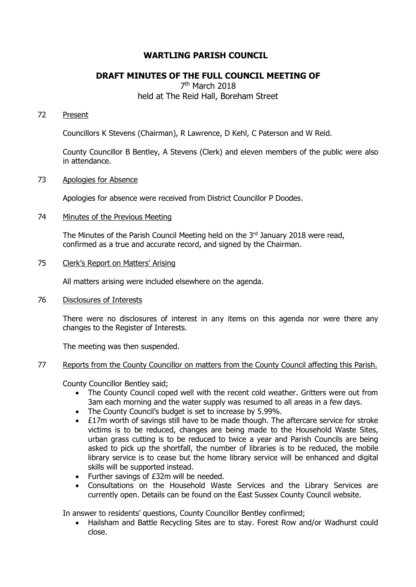# **WARTLING PARISH COUNCIL**

## **DRAFT MINUTES OF THE FULL COUNCIL MEETING OF**

7<sup>th</sup> March 2018 held at The Reid Hall, Boreham Street

## 72 Present

Councillors K Stevens (Chairman), R Lawrence, D Kehl, C Paterson and W Reid.

County Councillor B Bentley, A Stevens (Clerk) and eleven members of the public were also in attendance.

## 73 Apologies for Absence

Apologies for absence were received from District Councillor P Doodes.

### 74 Minutes of the Previous Meeting

The Minutes of the Parish Council Meeting held on the 3<sup>rd</sup> January 2018 were read, confirmed as a true and accurate record, and signed by the Chairman.

### 75 Clerk's Report on Matters' Arising

All matters arising were included elsewhere on the agenda.

76 Disclosures of Interests

There were no disclosures of interest in any items on this agenda nor were there any changes to the Register of Interests.

The meeting was then suspended.

## 77 Reports from the County Councillor on matters from the County Council affecting this Parish.

County Councillor Bentley said;

- The County Council coped well with the recent cold weather. Gritters were out from 3am each morning and the water supply was resumed to all areas in a few days.
- The County Council's budget is set to increase by 5.99%.
- £17m worth of savings still have to be made though. The aftercare service for stroke victims is to be reduced, changes are being made to the Household Waste Sites, urban grass cutting is to be reduced to twice a year and Parish Councils are being asked to pick up the shortfall, the number of libraries is to be reduced, the mobile library service is to cease but the home library service will be enhanced and digital skills will be supported instead.
- Further savings of £32m will be needed.
- Consultations on the Household Waste Services and the Library Services are currently open. Details can be found on the East Sussex County Council website.

In answer to residents' questions, County Councillor Bentley confirmed;

• Hailsham and Battle Recycling Sites are to stay. Forest Row and/or Wadhurst could close.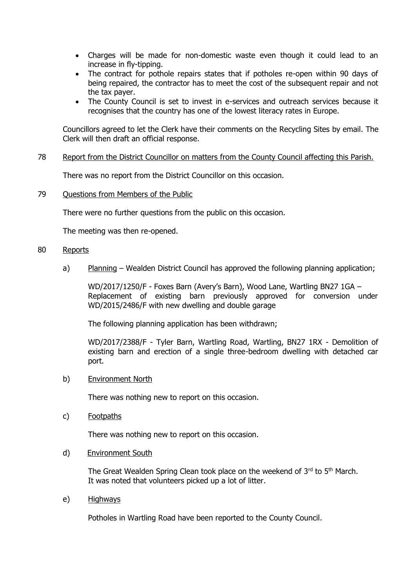- Charges will be made for non-domestic waste even though it could lead to an increase in fly-tipping.
- The contract for pothole repairs states that if potholes re-open within 90 days of being repaired, the contractor has to meet the cost of the subsequent repair and not the tax payer.
- The County Council is set to invest in e-services and outreach services because it recognises that the country has one of the lowest literacy rates in Europe.

Councillors agreed to let the Clerk have their comments on the Recycling Sites by email. The Clerk will then draft an official response.

## 78 Report from the District Councillor on matters from the County Council affecting this Parish.

There was no report from the District Councillor on this occasion.

79 Questions from Members of the Public

There were no further questions from the public on this occasion.

The meeting was then re-opened.

### 80 Reports

a) Planning – Wealden District Council has approved the following planning application;

WD/2017/1250/F - Foxes Barn (Avery's Barn), Wood Lane, Wartling BN27 1GA – Replacement of existing barn previously approved for conversion under WD/2015/2486/F with new dwelling and double garage

The following planning application has been withdrawn;

WD/2017/2388/F - Tyler Barn, Wartling Road, Wartling, BN27 1RX - Demolition of existing barn and erection of a single three-bedroom dwelling with detached car port.

b) Environment North

There was nothing new to report on this occasion.

c) Footpaths

There was nothing new to report on this occasion.

d) Environment South

The Great Wealden Spring Clean took place on the weekend of 3rd to 5<sup>th</sup> March. It was noted that volunteers picked up a lot of litter.

e) Highways

Potholes in Wartling Road have been reported to the County Council.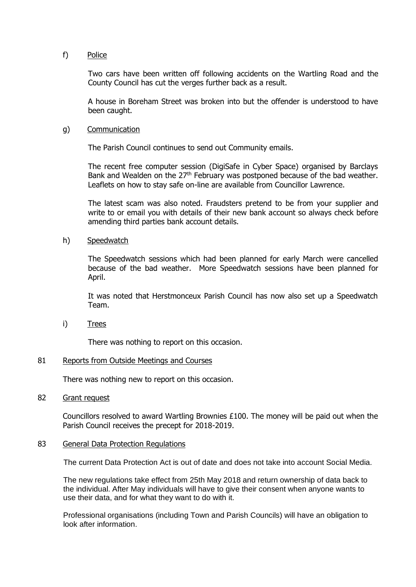### f) Police

Two cars have been written off following accidents on the Wartling Road and the County Council has cut the verges further back as a result.

A house in Boreham Street was broken into but the offender is understood to have been caught.

#### g) Communication

The Parish Council continues to send out Community emails.

The recent free computer session (DigiSafe in Cyber Space) organised by Barclays Bank and Wealden on the  $27<sup>th</sup>$  February was postponed because of the bad weather. Leaflets on how to stay safe on-line are available from Councillor Lawrence.

The latest scam was also noted. Fraudsters pretend to be from your supplier and write to or email you with details of their new bank account so always check before amending third parties bank account details.

### h) Speedwatch

The Speedwatch sessions which had been planned for early March were cancelled because of the bad weather. More Speedwatch sessions have been planned for April.

It was noted that Herstmonceux Parish Council has now also set up a Speedwatch Team.

i) Trees

There was nothing to report on this occasion.

#### 81 Reports from Outside Meetings and Courses

There was nothing new to report on this occasion.

#### 82 Grant request

Councillors resolved to award Wartling Brownies  $£100$ . The money will be paid out when the Parish Council receives the precept for 2018-2019.

#### 83 General Data Protection Regulations

The current Data Protection Act is out of date and does not take into account Social Media.

 The new regulations take effect from 25th May 2018 and return ownership of data back to the individual. After May individuals will have to give their consent when anyone wants to use their data, and for what they want to do with it.

 Professional organisations (including Town and Parish Councils) will have an obligation to look after information.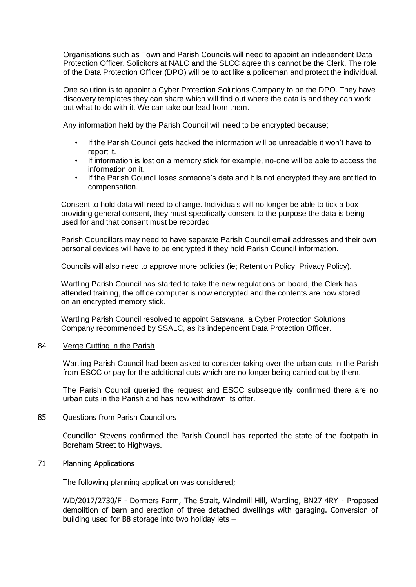Organisations such as Town and Parish Councils will need to appoint an independent Data Protection Officer. Solicitors at NALC and the SLCC agree this cannot be the Clerk. The role of the Data Protection Officer (DPO) will be to act like a policeman and protect the individual.

 One solution is to appoint a Cyber Protection Solutions Company to be the DPO. They have discovery templates they can share which will find out where the data is and they can work out what to do with it. We can take our lead from them.

Any information held by the Parish Council will need to be encrypted because;

- If the Parish Council gets hacked the information will be unreadable it won't have to report it.
- If information is lost on a memory stick for example, no-one will be able to access the information on it.
- If the Parish Council loses someone's data and it is not encrypted they are entitled to compensation.

 Consent to hold data will need to change. Individuals will no longer be able to tick a box providing general consent, they must specifically consent to the purpose the data is being used for and that consent must be recorded.

 Parish Councillors may need to have separate Parish Council email addresses and their own personal devices will have to be encrypted if they hold Parish Council information.

Councils will also need to approve more policies (ie; Retention Policy, Privacy Policy).

 Wartling Parish Council has started to take the new regulations on board, the Clerk has attended training, the office computer is now encrypted and the contents are now stored on an encrypted memory stick.

 Wartling Parish Council resolved to appoint Satswana, a Cyber Protection Solutions Company recommended by SSALC, as its independent Data Protection Officer.

#### 84 Verge Cutting in the Parish

Wartling Parish Council had been asked to consider taking over the urban cuts in the Parish from ESCC or pay for the additional cuts which are no longer being carried out by them.

The Parish Council queried the request and ESCC subsequently confirmed there are no urban cuts in the Parish and has now withdrawn its offer.

#### 85 Ouestions from Parish Councillors

Councillor Stevens confirmed the Parish Council has reported the state of the footpath in Boreham Street to Highways.

## 71 Planning Applications

The following planning application was considered;

WD/2017/2730/F - Dormers Farm, The Strait, Windmill Hill, Wartling, BN27 4RY - Proposed demolition of barn and erection of three detached dwellings with garaging. Conversion of building used for B8 storage into two holiday lets –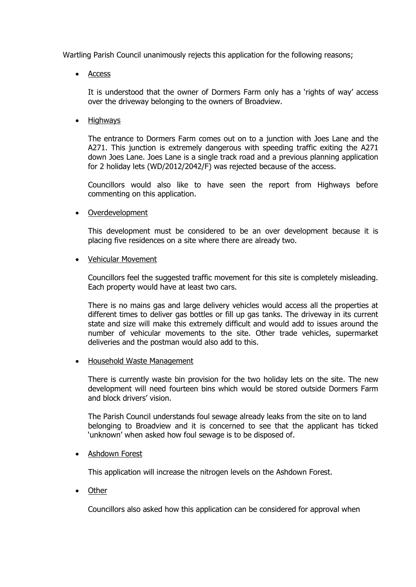Wartling Parish Council unanimously rejects this application for the following reasons;

• Access

It is understood that the owner of Dormers Farm only has a 'rights of way' access over the driveway belonging to the owners of Broadview.

• Highways

The entrance to Dormers Farm comes out on to a junction with Joes Lane and the A271. This junction is extremely dangerous with speeding traffic exiting the A271 down Joes Lane. Joes Lane is a single track road and a previous planning application for 2 holiday lets (WD/2012/2042/F) was rejected because of the access.

Councillors would also like to have seen the report from Highways before commenting on this application.

**Overdevelopment** 

This development must be considered to be an over development because it is placing five residences on a site where there are already two.

• Vehicular Movement

Councillors feel the suggested traffic movement for this site is completely misleading. Each property would have at least two cars.

There is no mains gas and large delivery vehicles would access all the properties at different times to deliver gas bottles or fill up gas tanks. The driveway in its current state and size will make this extremely difficult and would add to issues around the number of vehicular movements to the site. Other trade vehicles, supermarket deliveries and the postman would also add to this.

• Household Waste Management

There is currently waste bin provision for the two holiday lets on the site. The new development will need fourteen bins which would be stored outside Dormers Farm and block drivers' vision.

The Parish Council understands foul sewage already leaks from the site on to land belonging to Broadview and it is concerned to see that the applicant has ticked 'unknown' when asked how foul sewage is to be disposed of.

• Ashdown Forest

This application will increase the nitrogen levels on the Ashdown Forest.

• Other

Councillors also asked how this application can be considered for approval when